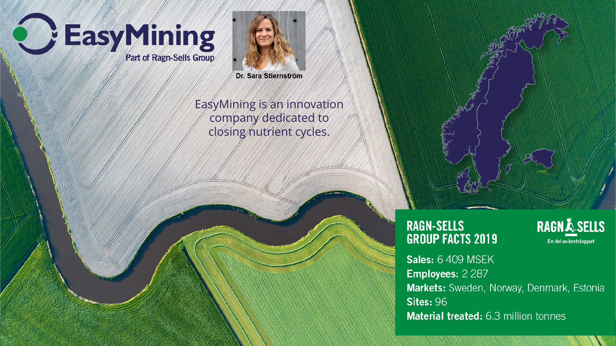



Dr. Sara Stiernström

EasyMining is an innovation company dedicated to closing nutrient cycles.

#### **RAGN-SELLS GROUP FACTS 2019**

**RAGNÅ SELLS** En del av kretsloppet

Sales: 6 409 MSEK Employees: 2 287 Markets: Sweden, Norway, Denmark, Estonia **Sites: 96** Material treated: 6.3 million tonnes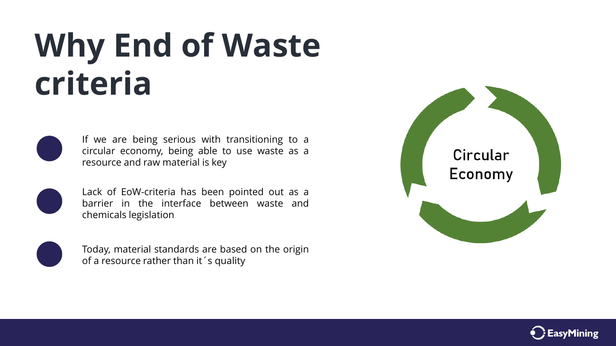### **Why End of Waste criteria**



If we are being serious with transitioning to a circular economy, being able to use waste as a resource and raw material is key



Lack of EoW-criteria has been pointed out as a barrier in the interface between waste and chemicals legislation



Today, material standards are based on the origin of a resource rather than it´s quality



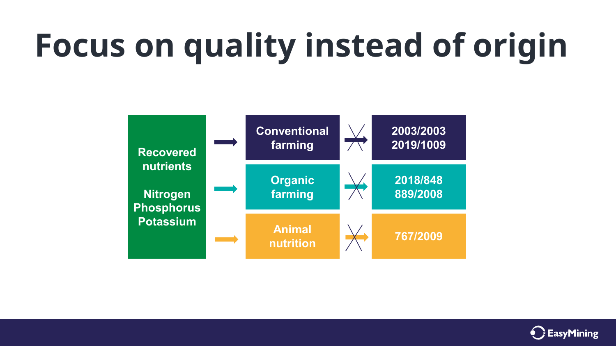# **Focus on quality instead of origin**



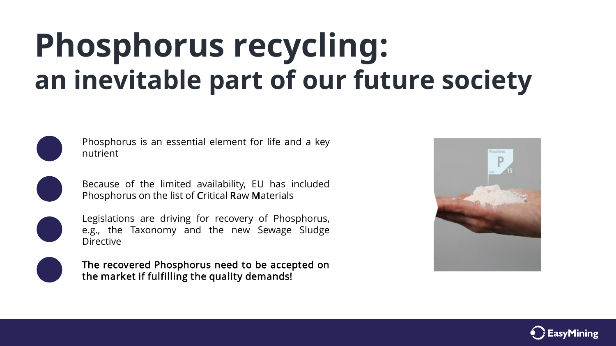#### **Phosphorus recycling: an inevitable part of our future society**



Phosphorus is an essential element for life and a key nutrient



Because of the limited availability, EU has included Phosphorus on the list of Critical Raw Materials



Legislations are driving for recovery of Phosphorus, e.g., the Taxonomy and the new Sewage Sludge Directive



The recovered Phosphorus need to be accepted on the market if fulfilling the quality demands!